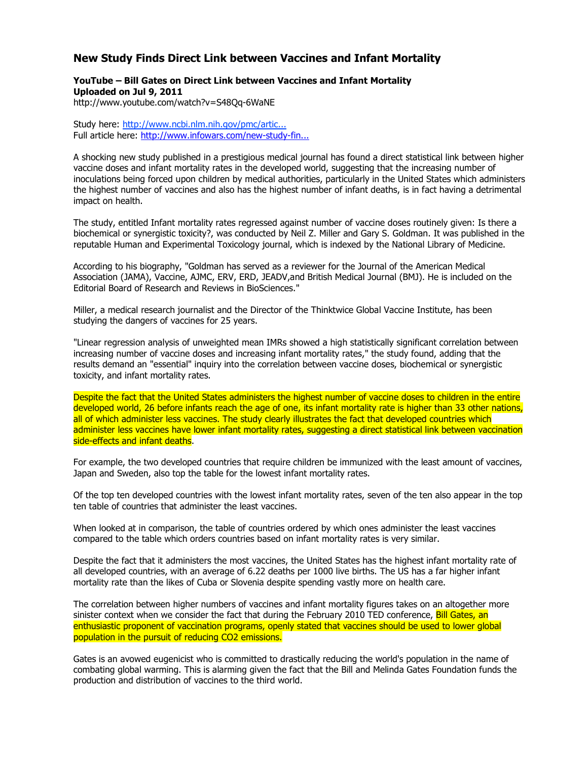## **New Study Finds Direct Link between Vaccines and Infant Mortality**

## **YouTube – Bill Gates on Direct Link between Vaccines and Infant Mortality Uploaded on Jul 9, 2011**

http://www.youtube.com/watch?v=S48Qq-6WaNE

Study here: http://www.ncbi.nlm.nih.gov/pmc/artic... Full article here: http://www.infowars.com/new-study-fin...

A shocking new study published in a prestigious medical journal has found a direct statistical link between higher vaccine doses and infant mortality rates in the developed world, suggesting that the increasing number of inoculations being forced upon children by medical authorities, particularly in the United States which administers the highest number of vaccines and also has the highest number of infant deaths, is in fact having a detrimental impact on health.

The study, entitled Infant mortality rates regressed against number of vaccine doses routinely given: Is there a biochemical or synergistic toxicity?, was conducted by Neil Z. Miller and Gary S. Goldman. It was published in the reputable Human and Experimental Toxicology journal, which is indexed by the National Library of Medicine.

According to his biography, "Goldman has served as a reviewer for the Journal of the American Medical Association (JAMA), Vaccine, AJMC, ERV, ERD, JEADV,and British Medical Journal (BMJ). He is included on the Editorial Board of Research and Reviews in BioSciences."

Miller, a medical research journalist and the Director of the Thinktwice Global Vaccine Institute, has been studying the dangers of vaccines for 25 years.

"Linear regression analysis of unweighted mean IMRs showed a high statistically significant correlation between increasing number of vaccine doses and increasing infant mortality rates," the study found, adding that the results demand an "essential" inquiry into the correlation between vaccine doses, biochemical or synergistic toxicity, and infant mortality rates.

Despite the fact that the United States administers the highest number of vaccine doses to children in the entire developed world, 26 before infants reach the age of one, its infant mortality rate is higher than 33 other nations, all of which administer less vaccines. The study clearly illustrates the fact that developed countries which administer less vaccines have lower infant mortality rates, suggesting a direct statistical link between vaccination side-effects and infant deaths.

For example, the two developed countries that require children be immunized with the least amount of vaccines, Japan and Sweden, also top the table for the lowest infant mortality rates.

Of the top ten developed countries with the lowest infant mortality rates, seven of the ten also appear in the top ten table of countries that administer the least vaccines.

When looked at in comparison, the table of countries ordered by which ones administer the least vaccines compared to the table which orders countries based on infant mortality rates is very similar.

Despite the fact that it administers the most vaccines, the United States has the highest infant mortality rate of all developed countries, with an average of 6.22 deaths per 1000 live births. The US has a far higher infant mortality rate than the likes of Cuba or Slovenia despite spending vastly more on health care.

The correlation between higher numbers of vaccines and infant mortality figures takes on an altogether more sinister context when we consider the fact that during the February 2010 TED conference, Bill Gates, an enthusiastic proponent of vaccination programs, openly stated that vaccines should be used to lower global population in the pursuit of reducing CO2 emissions.

Gates is an avowed eugenicist who is committed to drastically reducing the world's population in the name of combating global warming. This is alarming given the fact that the Bill and Melinda Gates Foundation funds the production and distribution of vaccines to the third world.